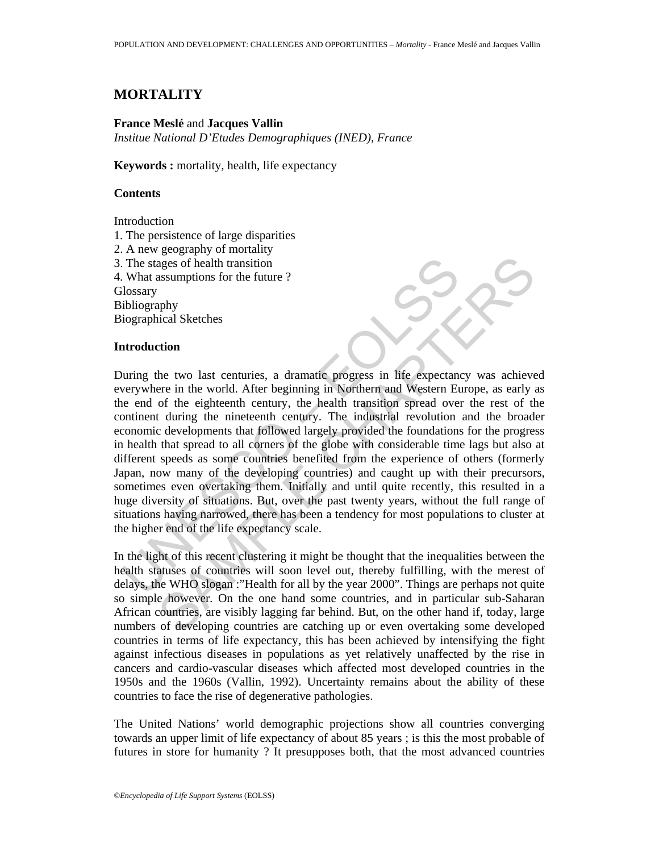## **MORTALITY**

### **France Meslé** and **Jacques Vallin**

*Institue National D'Etudes Demographiques (INED), France* 

**Keywords :** mortality, health, life expectancy

### **Contents**

**Introduction** 

- 1. The persistence of large disparities
- 2. A new geography of mortality
- 3. The stages of health transition
- 4. What assumptions for the future ?

**Glossary** 

Bibliography

Biographical Sketches

#### **Introduction**

The stages of health transition<br>
What assumptions for the future ?<br>
Uslossary<br>
Usloigraphy<br>
Using in Northern and Western Ether<br>
Introduction<br>
Introduction<br>
Intervalse in the world. After beginning in Northern and Western ages of health transition<br>
assumptions for the future ?<br>
This assumptions for the future ?<br>
This assumptions for the future ?<br>
This assumptions for the ture ?<br>
This assumption of the eighteenth century, the health transiti During the two last centuries, a dramatic progress in life expectancy was achieved everywhere in the world. After beginning in Northern and Western Europe, as early as the end of the eighteenth century, the health transition spread over the rest of the continent during the nineteenth century. The industrial revolution and the broader economic developments that followed largely provided the foundations for the progress in health that spread to all corners of the globe with considerable time lags but also at different speeds as some countries benefited from the experience of others (formerly Japan, now many of the developing countries) and caught up with their precursors, sometimes even overtaking them. Initially and until quite recently, this resulted in a huge diversity of situations. But, over the past twenty years, without the full range of situations having narrowed, there has been a tendency for most populations to cluster at the higher end of the life expectancy scale.

In the light of this recent clustering it might be thought that the inequalities between the health statuses of countries will soon level out, thereby fulfilling, with the merest of delays, the WHO slogan :"Health for all by the year 2000". Things are perhaps not quite so simple however. On the one hand some countries, and in particular sub-Saharan African countries, are visibly lagging far behind. But, on the other hand if, today, large numbers of developing countries are catching up or even overtaking some developed countries in terms of life expectancy, this has been achieved by intensifying the fight against infectious diseases in populations as yet relatively unaffected by the rise in cancers and cardio-vascular diseases which affected most developed countries in the 1950s and the 1960s (Vallin, 1992). Uncertainty remains about the ability of these countries to face the rise of degenerative pathologies.

The United Nations' world demographic projections show all countries converging towards an upper limit of life expectancy of about 85 years ; is this the most probable of futures in store for humanity ? It presupposes both, that the most advanced countries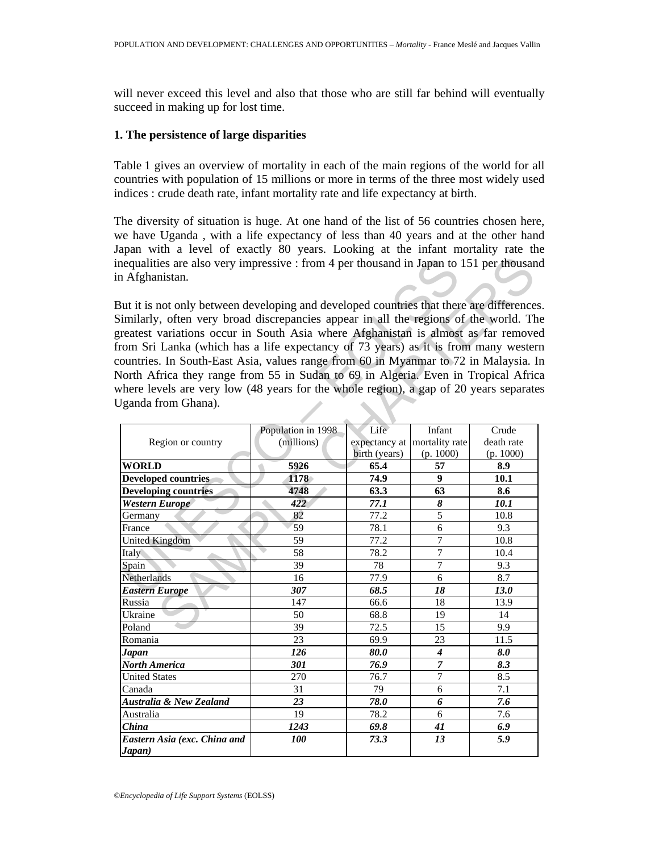will never exceed this level and also that those who are still far behind will eventually succeed in making up for lost time.

### **1. The persistence of large disparities**

Table 1 gives an overview of mortality in each of the main regions of the world for all countries with population of 15 millions or more in terms of the three most widely used indices : crude death rate, infant mortality rate and life expectancy at birth.

The diversity of situation is huge. At one hand of the list of 56 countries chosen here, we have Uganda , with a life expectancy of less than 40 years and at the other hand Japan with a level of exactly 80 years. Looking at the infant mortality rate the inequalities are also very impressive : from 4 per thousand in Japan to 151 per thousand in Afghanistan.

| nequalities are also very impressive : from 4 per thousand in Japan to 151 per thousand<br>n Afghanistan.                                                                                                                                                                                                                                                                                                                                                                                                                                                                                                                                                 |                                  |                                        |                                       |                                  |
|-----------------------------------------------------------------------------------------------------------------------------------------------------------------------------------------------------------------------------------------------------------------------------------------------------------------------------------------------------------------------------------------------------------------------------------------------------------------------------------------------------------------------------------------------------------------------------------------------------------------------------------------------------------|----------------------------------|----------------------------------------|---------------------------------------|----------------------------------|
| But it is not only between developing and developed countries that there are differences<br>Similarly, often very broad discrepancies appear in all the regions of the world. The<br>greatest variations occur in South Asia where Afghanistan is almost as far remove<br>from Sri Lanka (which has a life expectancy of 73 years) as it is from many wester<br>countries. In South-East Asia, values range from 60 in Myanmar to 72 in Malaysia. In<br>North Africa they range from 55 in Sudan to 69 in Algeria. Even in Tropical Afric<br>where levels are very low (48 years for the whole region), a gap of 20 years separate<br>Jganda from Ghana). |                                  |                                        |                                       |                                  |
|                                                                                                                                                                                                                                                                                                                                                                                                                                                                                                                                                                                                                                                           |                                  |                                        |                                       |                                  |
| Region or country                                                                                                                                                                                                                                                                                                                                                                                                                                                                                                                                                                                                                                         | Population in 1998<br>(millions) | Life<br>expectancy at<br>birth (years) | Infant<br>mortality rate<br>(p. 1000) | Crude<br>death rate<br>(p. 1000) |
| <b>WORLD</b>                                                                                                                                                                                                                                                                                                                                                                                                                                                                                                                                                                                                                                              | 5926                             | 65.4                                   | 57                                    | 8.9                              |
| <b>Developed countries</b>                                                                                                                                                                                                                                                                                                                                                                                                                                                                                                                                                                                                                                | 1178                             | 74.9                                   | 9                                     | 10.1                             |
| <b>Developing countries</b>                                                                                                                                                                                                                                                                                                                                                                                                                                                                                                                                                                                                                               | 4748                             | 63.3                                   | 63                                    | 8.6                              |
| <b>Western Europe</b>                                                                                                                                                                                                                                                                                                                                                                                                                                                                                                                                                                                                                                     | 422                              | 77.1                                   | 8                                     | 10.1                             |
| Germany                                                                                                                                                                                                                                                                                                                                                                                                                                                                                                                                                                                                                                                   | 82                               | 77.2                                   | $\overline{5}$                        | 10.8                             |
| France                                                                                                                                                                                                                                                                                                                                                                                                                                                                                                                                                                                                                                                    | 59                               | 78.1                                   | 6                                     | 9.3                              |
| <b>United Kingdom</b>                                                                                                                                                                                                                                                                                                                                                                                                                                                                                                                                                                                                                                     | 59                               | 77.2                                   | $\overline{7}$                        | 10.8                             |
| Italy                                                                                                                                                                                                                                                                                                                                                                                                                                                                                                                                                                                                                                                     | 58                               | 78.2                                   | $\tau$                                | 10.4                             |
| Spain                                                                                                                                                                                                                                                                                                                                                                                                                                                                                                                                                                                                                                                     | 39                               | 78                                     | 7                                     | 9.3                              |
| Netherlands                                                                                                                                                                                                                                                                                                                                                                                                                                                                                                                                                                                                                                               | 16                               | 77.9                                   | 6                                     | 8.7                              |
| <b>Eastern Europe</b>                                                                                                                                                                                                                                                                                                                                                                                                                                                                                                                                                                                                                                     | 307                              | 68.5                                   | 18                                    | 13.0                             |
| Russia                                                                                                                                                                                                                                                                                                                                                                                                                                                                                                                                                                                                                                                    | 147                              | 66.6                                   | 18                                    | 13.9                             |
| Ukraine                                                                                                                                                                                                                                                                                                                                                                                                                                                                                                                                                                                                                                                   | 50                               | 68.8                                   | 19                                    | 14                               |
| Poland                                                                                                                                                                                                                                                                                                                                                                                                                                                                                                                                                                                                                                                    | 39                               | 72.5                                   | 15                                    | 9.9                              |
| Romania                                                                                                                                                                                                                                                                                                                                                                                                                                                                                                                                                                                                                                                   | 23                               | 69.9                                   | 23                                    | 11.5                             |
| Japan                                                                                                                                                                                                                                                                                                                                                                                                                                                                                                                                                                                                                                                     | 126                              | 80.0                                   | $\boldsymbol{4}$                      | 8.0                              |
| North America                                                                                                                                                                                                                                                                                                                                                                                                                                                                                                                                                                                                                                             | 301                              | 76.9                                   | $\overline{7}$                        | 8.3                              |
| <b>United States</b>                                                                                                                                                                                                                                                                                                                                                                                                                                                                                                                                                                                                                                      | 270                              | 76.7                                   | $\overline{7}$                        | 8.5                              |
| Canada                                                                                                                                                                                                                                                                                                                                                                                                                                                                                                                                                                                                                                                    | 31                               | 79                                     | 6                                     | 7.1                              |
| Australia & New Zealand                                                                                                                                                                                                                                                                                                                                                                                                                                                                                                                                                                                                                                   | 23                               | 78.0                                   | 6                                     | 7.6                              |
| Australia                                                                                                                                                                                                                                                                                                                                                                                                                                                                                                                                                                                                                                                 | 19                               | 78.2                                   | 6                                     | 7.6                              |
| $\overline{China}$                                                                                                                                                                                                                                                                                                                                                                                                                                                                                                                                                                                                                                        | 1243                             | 69.8                                   | 41                                    | 6.9                              |
| Eastern Asia (exc. China and<br>Japan)                                                                                                                                                                                                                                                                                                                                                                                                                                                                                                                                                                                                                    | 100                              | 73.3                                   | 13                                    | 5.9                              |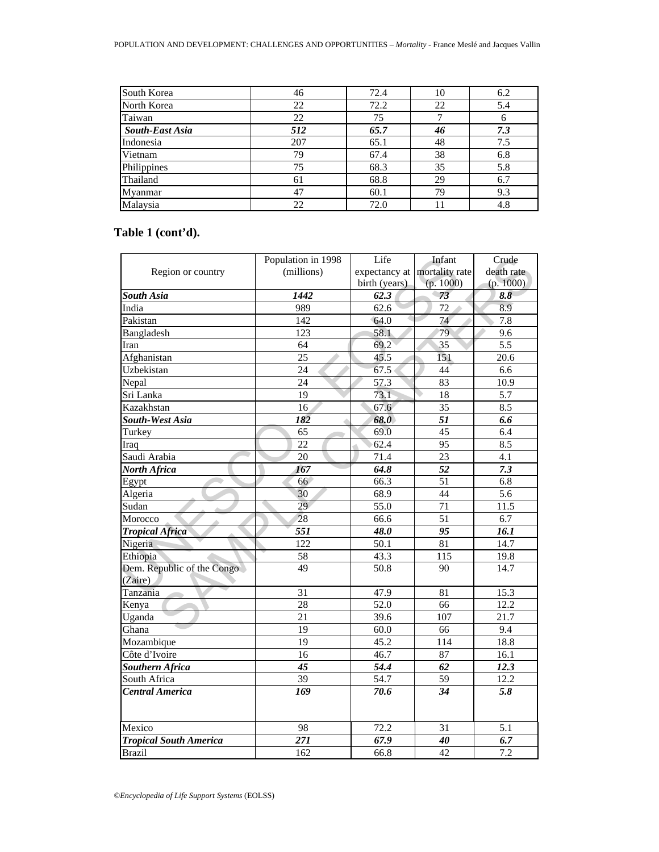| South Korea     | 46  | 72.4 | 10 | 6.2 |
|-----------------|-----|------|----|-----|
| North Korea     | 22  | 72.2 | 22 | 5.4 |
| Taiwan          | 22  | 75   |    | b   |
| South-East Asia | 512 | 65.7 | 46 | 7.3 |
| Indonesia       | 207 | 65.1 | 48 | 7.5 |
| Vietnam         | 79  | 67.4 | 38 | 6.8 |
| Philippines     | 75  | 68.3 | 35 | 5.8 |
| Thailand        | 61  | 68.8 | 29 | 6.7 |
| Myanmar         | 47  | 60.1 | 79 | 9.3 |
| Malaysia        | 22  | 72.0 |    | 4.8 |

# **Table 1 (cont'd).**

|                               | Population in 1998 | Life                         | Infant          | Crude      |
|-------------------------------|--------------------|------------------------------|-----------------|------------|
| Region or country             | (millions)         | expectancy at mortality rate |                 | death rate |
|                               |                    | birth (years)                | (p. 1000)       | (p. 1000)  |
| South Asia                    | 1442               | 62.3                         | 73              | 8.8        |
| India                         | 989                | 62.6                         | 72              | 8.9        |
| Pakistan                      | $\overline{142}$   | 64.0                         | 74              | 7.8        |
| Bangladesh                    | 123                | 58.1                         | 79              | 9.6        |
| Iran                          | 64                 | 69.2                         | 35              | 5.5        |
| Afghanistan                   | 25                 | 45.5                         | 151             | 20.6       |
| Uzbekistan                    | 24                 | 67.5                         | 44              | 6.6        |
| Nepal                         | 24                 | 57.3                         | 83              | 10.9       |
| Sri Lanka                     | 19                 | 73.1                         | 18              | 5.7        |
| Kazakhstan                    | 16                 | 67.6                         | $\overline{35}$ | 8.5        |
| South-West Asia               | 182<br>ä           | 68.0                         | $\overline{51}$ | 6.6        |
| Turkey                        | 65                 | 69.0                         | 45              | 6.4        |
| Iraq                          | 22                 | 62.4                         | 95              | 8.5        |
| Saudi Arabia                  | 20                 | 71.4                         | 23              | 4.1        |
| North Africa                  | 167                | 64.8                         | $\overline{52}$ | 7.3        |
| Egypt                         | 66                 | 66.3                         | $\overline{51}$ | 6.8        |
| Algeria                       | 30                 | 68.9                         | 44              | 5.6        |
| Sudan                         | 29                 | 55.0                         | 71              | 11.5       |
| Morocco                       | 28                 | 66.6                         | 51              | 6.7        |
| <b>Tropical Africa</b>        | 551                | 48.0                         | 95              | 16.1       |
| Nigeria                       | 122                | 50.1                         | 81              | 14.7       |
| Ethiopia                      | 58                 | 43.3                         | 115             | 19.8       |
| Dem. Republic of the Congo    | 49                 | 50.8                         | 90              | 14.7       |
| (Zaire)                       |                    |                              |                 |            |
| Tanzania                      | 31                 | 47.9                         | 81              | 15.3       |
| Kenya                         | 28                 | 52.0                         | 66              | 12.2       |
| Uganda                        | 21                 | 39.6                         | 107             | 21.7       |
| Ghana                         | 19                 | 60.0                         | 66              | 9.4        |
| Mozambique                    | 19                 | 45.2                         | 114             | 18.8       |
| Côte d'Ivoire                 | 16                 | 46.7                         | 87              | 16.1       |
| Southern Africa               | 45                 | 54.4                         | 62              | 12.3       |
| South Africa                  | 39                 | 54.7                         | 59              | 12.2       |
| <b>Central America</b>        | 169                | 70.6                         | 34              | 5.8        |
|                               |                    |                              |                 |            |
| Mexico                        | 98                 | 72.2                         | 31              | 5.1        |
| <b>Tropical South America</b> | 271                | 67.9                         | 40              | 6.7        |
| <b>Brazil</b>                 | 162                | 66.8                         | $\overline{42}$ | 7.2        |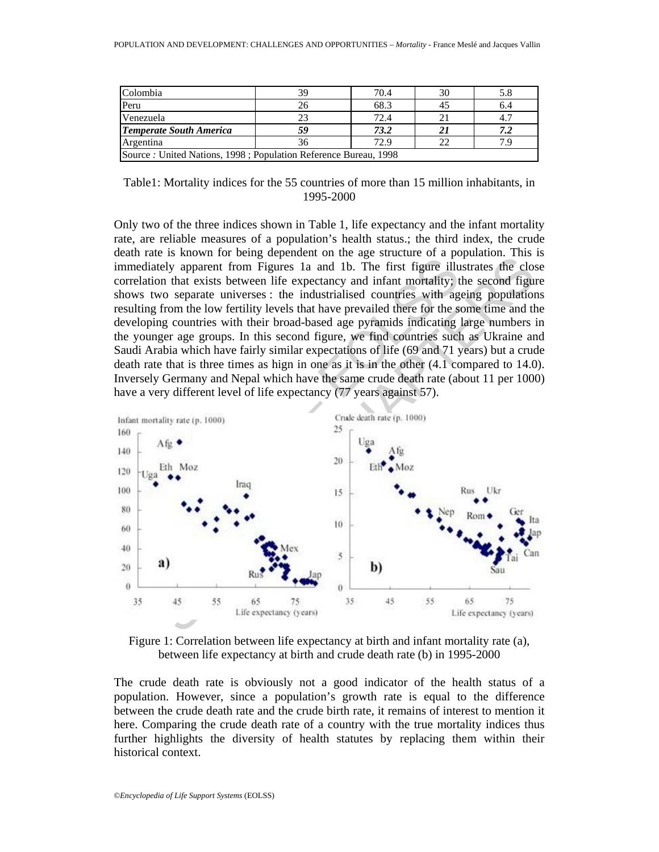| Colombia                                                          | 70.4 | 30 |     |
|-------------------------------------------------------------------|------|----|-----|
| Peru                                                              | 68.3 | 45 | 6.4 |
| Venezuela                                                         | 72.4 |    |     |
| <b>Temperate South America</b>                                    | 73.2 |    |     |
| Argentina                                                         | 72.9 | 22 |     |
| Source : United Nations, 1998 ; Population Reference Bureau, 1998 |      |    |     |

Table1: Mortality indices for the 55 countries of more than 15 million inhabitants, in 1995-2000

Only two of the three indices shown in Table 1, life expectancy and the infant mortality rate, are reliable measures of a population's health status.; the third index, the crude death rate is known for being dependent on the age structure of a population. This is immediately apparent from Figures 1a and 1b. The first figure illustrates the close correlation that exists between life expectancy and infant mortality; the second figure shows two separate universes : the industrialised countries with ageing populations resulting from the low fertility levels that have prevailed there for the some time and the developing countries with their broad-based age pyramids indicating large numbers in the younger age groups. In this second figure, we find countries such as Ukraine and Saudi Arabia which have fairly similar expectations of life (69 and 71 years) but a crude death rate that is three times as hign in one as it is in the other (4.1 compared to 14.0). Inversely Germany and Nepal which have the same crude death rate (about 11 per 1000) have a very different level of life expectancy (77 years against 57).



Figure 1: Correlation between life expectancy at birth and infant mortality rate (a), between life expectancy at birth and crude death rate (b) in 1995-2000

The crude death rate is obviously not a good indicator of the health status of a population. However, since a population's growth rate is equal to the difference between the crude death rate and the crude birth rate, it remains of interest to mention it here. Comparing the crude death rate of a country with the true mortality indices thus further highlights the diversity of health statutes by replacing them within their historical context.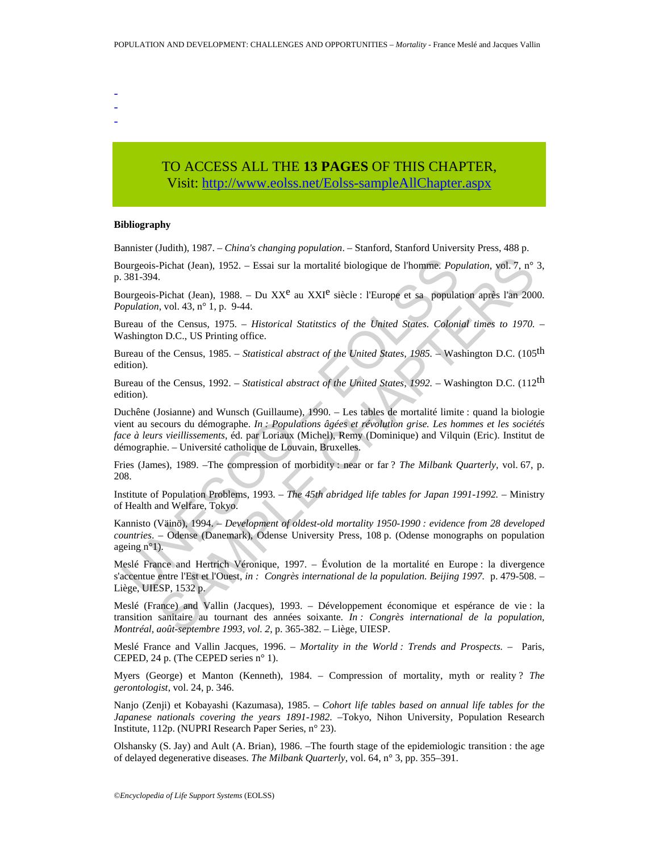- - -

## TO ACCESS ALL THE **13 PAGES** OF THIS CHAPTER, Visi[t: http://www.eolss.net/Eolss-sampleAllChapter.aspx](https://www.eolss.net/ebooklib/sc_cart.aspx?File=E1-13-01-04)

#### **Bibliography**

Bannister (Judith), 1987. – *China's changing population*. – Stanford, Stanford University Press, 488 p.

Bourgeois-Pichat (Jean), 1952. – Essai sur la mortalité biologique de l'homme. *Population*, vol. 7, n° 3, p. 381-394.

Bourgeois-Pichat (Jean), 1988. – Du XX<sup>e</sup> au XXI<sup>e</sup> siècle : l'Europe et sa population après l'an 2000. *Population*, vol. 43, n° 1, p. 9-44.

Bureau of the Census, 1975. – *Historical Statitstics of the United States. Colonial times to 1970. –* Washington D.C., US Printing office.

Bureau of the Census, 1985. – *Statistical abstract of the United States, 1985. –* Washington D.C. (105th edition).

Bureau of the Census, 1992. – *Statistical abstract of the United States, 1992. –* Washington D.C. (112th edition).

ourgeois-Pichat (Jean), 1952. – Essai sur la mortalité biologique de l'homme. *Pop*<br>381-394.<br>
ourgeois-Pichat (Jean), 1988. – Du XX<sup>e</sup> au XXI<sup>e</sup> siècle : l'Europe et sa populat<br>
orgation, vol. 43, n° 1, p. 9-44.<br>
ureau of Pichat (Jean), 1952. – Essai sur la mortalité biologique de l'homme. *Population*, vol. 7, n°<br>
- Pichat (Jean), 1988. – Du XX<sup>e</sup> au XXI<sup>e</sup> siècle : l'Europe et sa population après l'an 200<br>
- Pichat (Jean), 1988. – Du XX<sup></sup> Duchêne (Josianne) and Wunsch (Guillaume), 1990. – Les tables de mortalité limite : quand la biologie vient au secours du démographe. *In : Populations âgées et révolution grise. Les hommes et les sociétés face à leurs vieillissements*, éd. par Loriaux (Michel), Remy (Dominique) and Vilquin (Eric). Institut de démographie. – Université catholique de Louvain, Bruxelles.

Fries (James), 1989. –The compression of morbidity : near or far ? *The Milbank Quarterly*, vol. 67, p. 208.

Institute of Population Problems, 1993. – *The 45th abridged life tables for Japan 1991-1992.* – Ministry of Health and Welfare, Tokyo.

Kannisto (Väinö), 1994. – *Development of oldest-old mortality 1950-1990 : evidence from 28 developed countries*. – Odense (Danemark), Odense University Press, 108 p. (Odense monographs on population ageing n°1).

Meslé France and Hertrich Véronique, 1997. – Évolution de la mortalité en Europe : la divergence s'accentue entre l'Est et l'Ouest, *in : Congrès international de la population. Beijing 1997.* p. 479-508. – Liège, UIESP, 1532 p.

Meslé (France) and Vallin (Jacques), 1993. – Développement économique et espérance de vie : la transition sanitaire au tournant des années soixante. *In : Congrès international de la population, Montréal, août-septembre 1993, vol. 2*, p. 365-382. – Liège, UIESP.

Meslé France and Vallin Jacques, 1996. – *Mortality in the World : Trends and Prospects.* –Paris, CEPED, 24 p. (The CEPED series n° 1).

Myers (George) et Manton (Kenneth), 1984. – Compression of mortality, myth or reality ? *The gerontologist*, vol. 24, p. 346.

Nanjo (Zenji) et Kobayashi (Kazumasa), 1985. – *Cohort life tables based on annual life tables for the Japanese nationals covering the years 1891-1982*. –Tokyo, Nihon University, Population Research Institute, 112p. (NUPRI Research Paper Series, n° 23).

Olshansky (S. Jay) and Ault (A. Brian), 1986. –The fourth stage of the epidemiologic transition : the age of delayed degenerative diseases. *The Milbank Quarterly*, vol. 64, n° 3, pp. 355–391.